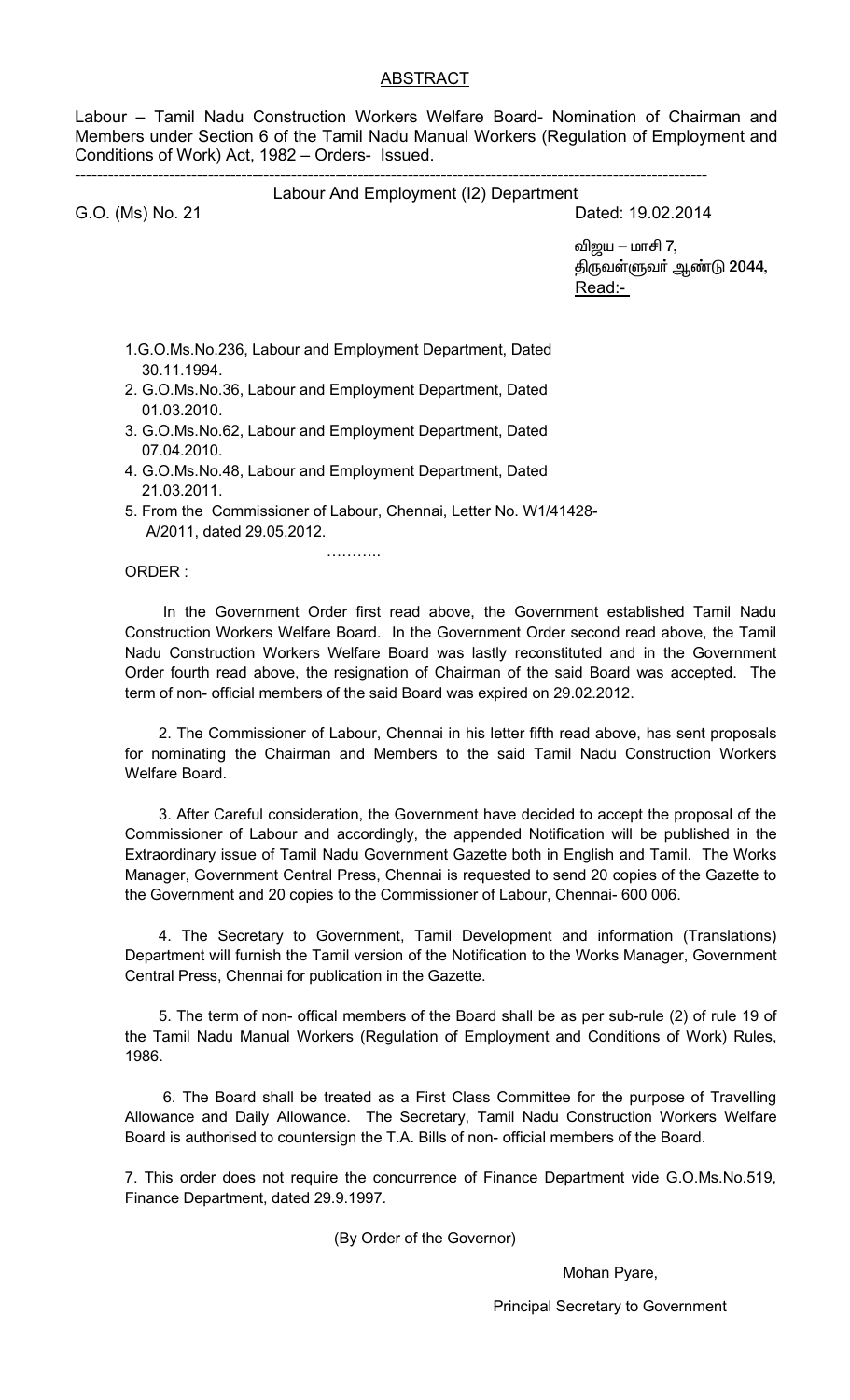Labour – Tamil Nadu Construction Workers Welfare Board- Nomination of Chairman and Members under Section 6 of the Tamil Nadu Manual Workers (Regulation of Employment and Conditions of Work) Act, 1982 - Orders- Issued.

#### Labour And Employment (12) Department

G.O. (Ms) No. 21

## Dated: 19.02.2014

விஜய — மாசி 7, திருவள்ளுவா் ஆண்டு 2044, Read:-

- 1.G.O.Ms.No.236, Labour and Employment Department, Dated 30.11.1994.
- 2. G.O.Ms.No.36, Labour and Employment Department, Dated  $01.03.2010.$
- 3. G.O.Ms.No.62, Labour and Employment Department, Dated 07.04.2010.
- 4. G.O.Ms.No.48, Labour and Employment Department, Dated 21.03.2011.
- 5. From the Commissioner of Labour, Chennai, Letter No. W1/41428-A/2011, dated 29.05.2012.

. . . . . . . . . . .

ORDER:

In the Government Order first read above, the Government established Tamil Nadu Construction Workers Welfare Board. In the Government Order second read above, the Tamil Nadu Construction Workers Welfare Board was lastly reconstituted and in the Government Order fourth read above, the resignation of Chairman of the said Board was accepted. The term of non- official members of the said Board was expired on 29.02.2012.

2. The Commissioner of Labour, Chennai in his letter fifth read above, has sent proposals for nominating the Chairman and Members to the said Tamil Nadu Construction Workers Welfare Board.

3. After Careful consideration, the Government have decided to accept the proposal of the Commissioner of Labour and accordingly, the appended Notification will be published in the Extraordinary issue of Tamil Nadu Government Gazette both in English and Tamil. The Works Manager, Government Central Press, Chennai is requested to send 20 copies of the Gazette to the Government and 20 copies to the Commissioner of Labour, Chennai-600 006.

4. The Secretary to Government, Tamil Development and information (Translations) Department will furnish the Tamil version of the Notification to the Works Manager, Government Central Press, Chennai for publication in the Gazette.

5. The term of non- offical members of the Board shall be as per sub-rule (2) of rule 19 of the Tamil Nadu Manual Workers (Regulation of Employment and Conditions of Work) Rules, 1986.

6. The Board shall be treated as a First Class Committee for the purpose of Travelling Allowance and Daily Allowance. The Secretary, Tamil Nadu Construction Workers Welfare Board is authorised to countersign the T.A. Bills of non-official members of the Board.

7. This order does not require the concurrence of Finance Department vide G.O.Ms.No.519, Finance Department, dated 29.9.1997.

(By Order of the Governor)

Mohan Pyare,

**Principal Secretary to Government**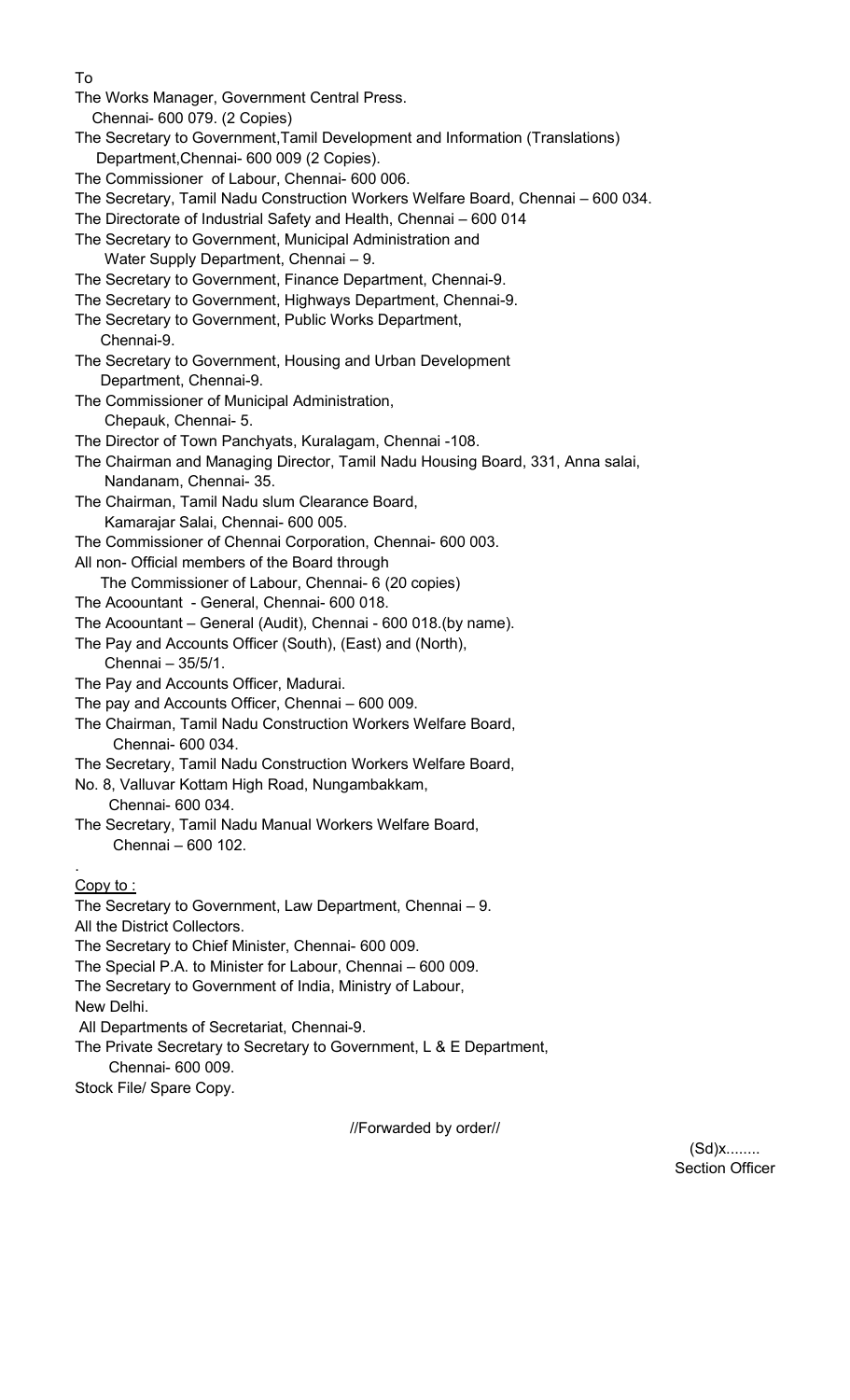To The Works Manager, Government Central Press. Chennai- 600 079. (2 Copies) The Secretary to Government,Tamil Development and Information (Translations) Department,Chennai- 600 009 (2 Copies). The Commissioner of Labour, Chennai- 600 006. The Secretary, Tamil Nadu Construction Workers Welfare Board, Chennai – 600 034. The Directorate of Industrial Safety and Health, Chennai – 600 014 The Secretary to Government, Municipal Administration and Water Supply Department, Chennai – 9. The Secretary to Government, Finance Department, Chennai-9. The Secretary to Government, Highways Department, Chennai-9. The Secretary to Government, Public Works Department, Chennai-9. The Secretary to Government, Housing and Urban Development Department, Chennai-9. The Commissioner of Municipal Administration, Chepauk, Chennai- 5. The Director of Town Panchyats, Kuralagam, Chennai -108. The Chairman and Managing Director, Tamil Nadu Housing Board, 331, Anna salai, Nandanam, Chennai- 35. The Chairman, Tamil Nadu slum Clearance Board, Kamarajar Salai, Chennai- 600 005. The Commissioner of Chennai Corporation, Chennai- 600 003. All non- Official members of the Board through The Commissioner of Labour, Chennai- 6 (20 copies) The Acoountant - General, Chennai- 600 018. The Acoountant– General (Audit), Chennai - 600 018.(by name). The Pay and Accounts Officer(South), (East) and (North), Chennai – 35/5/1. The Pay and Accounts Officer, Madurai. The pay and Accounts Officer, Chennai – 600 009. The Chairman, Tamil Nadu Construction Workers Welfare Board, Chennai- 600 034. The Secretary, Tamil Nadu Construction Workers Welfare Board, No. 8, Valluvar Kottam High Road, Nungambakkam, Chennai- 600 034. The Secretary, Tamil Nadu Manual Workers Welfare Board, Chennai – 600 102. .Copy to : The Secretary to Government, Law Department, Chennai – 9. All the District Collectors. The Secretary to Chief Minister, Chennai- 600 009. The Special P.A. to Minister for Labour, Chennai – 600 009. The Secretary to Government of India, Ministry of Labour, New Delhi. All Departments of Secretariat, Chennai-9. The Private Secretary to Secretary to Government, L & E Department, Chennai- 600 009. Stock File/ Spare Copy.

//Forwarded by order//

(Sd)x........ Section Officer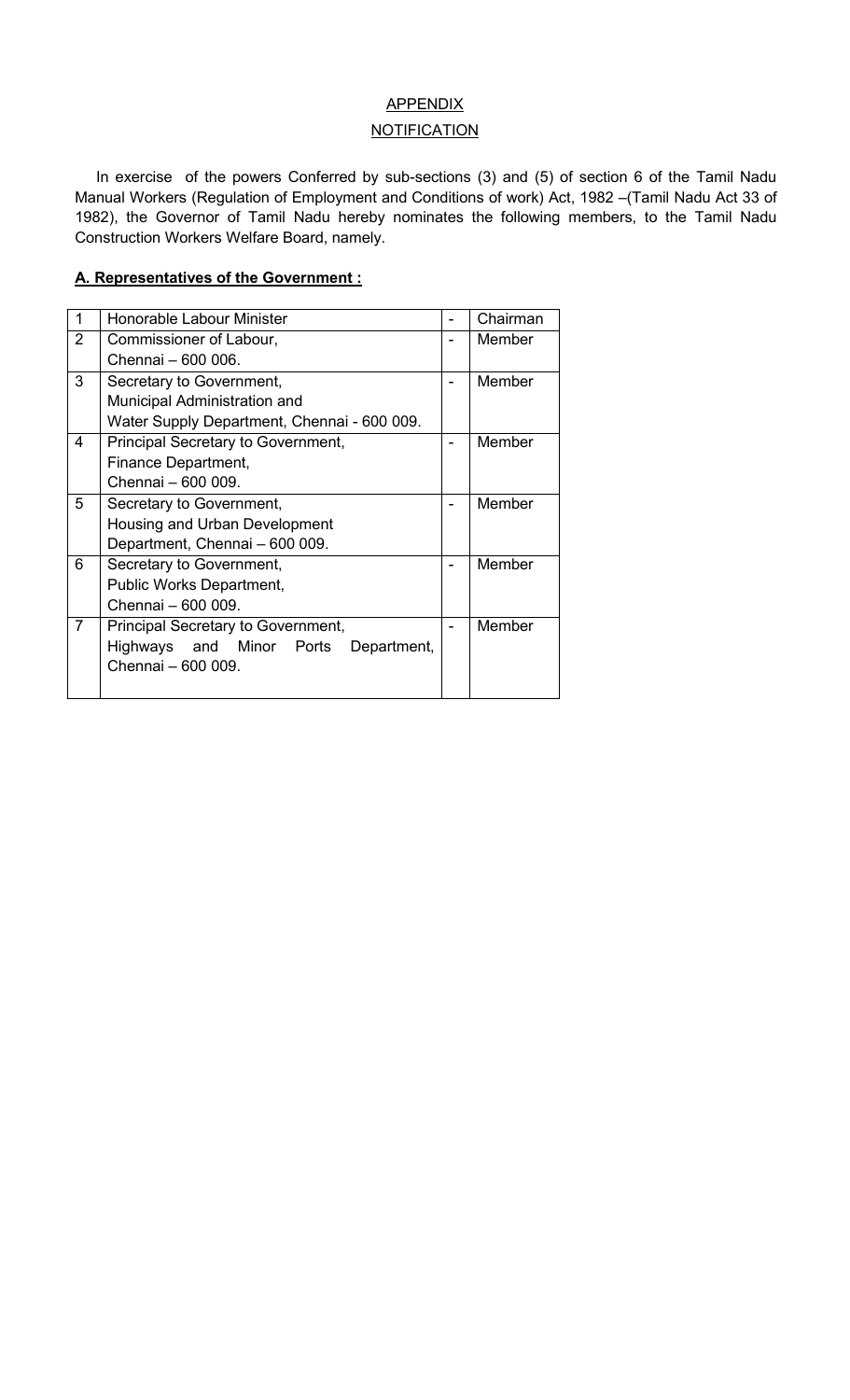## **APPENDIX**

### **NOTIFICATION**

In exercise of the powers Conferred by sub-sections (3) and (5) of section 6 of the Tamil Nadu Manual Workers (Regulation of Employment and Conditions of work) Act, 1982 –(Tamil Nadu Act 33 of 1982), the Governor of Tamil Nadu hereby nominates the following members, to the Tamil Nadu Construction Workers Welfare Board, namely.

#### **A. Representatives of the Government :**

|                | Honorable Labour Minister                   |   | Chairman |
|----------------|---------------------------------------------|---|----------|
| $\overline{2}$ | Commissioner of Labour,                     |   | Member   |
|                | Chennai - 600 006.                          |   |          |
| 3              | Secretary to Government,                    | - | Member   |
|                | Municipal Administration and                |   |          |
|                | Water Supply Department, Chennai - 600 009. |   |          |
| $\overline{4}$ | Principal Secretary to Government,          | ۰ | Member   |
|                | Finance Department,                         |   |          |
|                | Chennai - 600 009.                          |   |          |
| 5              | Secretary to Government,                    |   | Member   |
|                | Housing and Urban Development               |   |          |
|                | Department, Chennai - 600 009.              |   |          |
| 6              | Secretary to Government,                    | - | Member   |
|                | Public Works Department,                    |   |          |
|                | Chennai - 600 009.                          |   |          |
| $\overline{7}$ | Principal Secretary to Government,          | - | Member   |
|                | Highways and Minor Ports<br>Department,     |   |          |
|                | Chennai - 600 009.                          |   |          |
|                |                                             |   |          |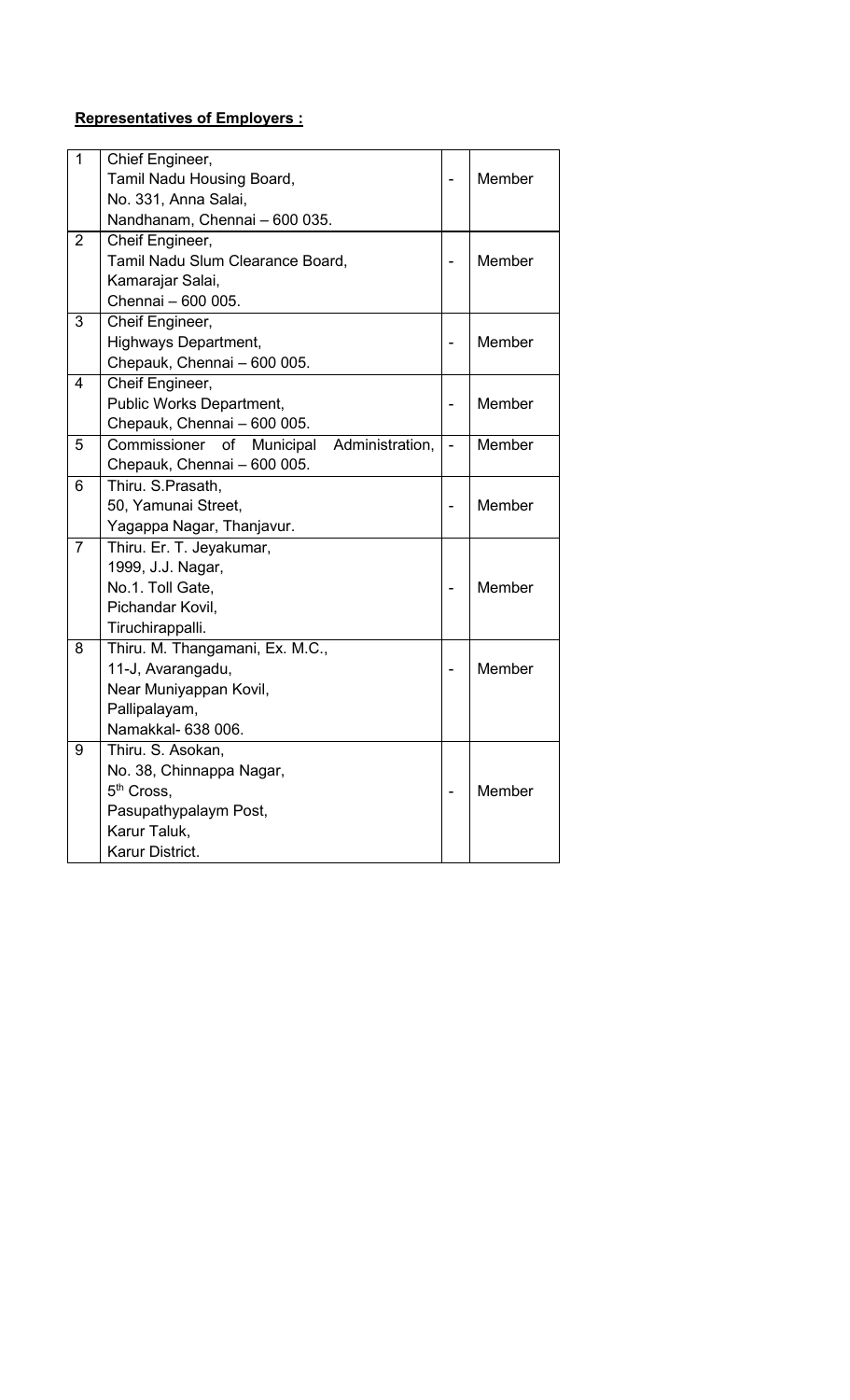## **Representatives of Employers :**

| $\overline{1}$ | Chief Engineer,                                    |                          |               |
|----------------|----------------------------------------------------|--------------------------|---------------|
|                | Tamil Nadu Housing Board,                          |                          | Member        |
|                | No. 331, Anna Salai,                               |                          |               |
|                | Nandhanam, Chennai - 600 035.                      |                          |               |
| $\overline{2}$ | Cheif Engineer,                                    |                          |               |
|                | Tamil Nadu Slum Clearance Board,                   |                          | <b>Member</b> |
|                | Kamarajar Salai,                                   |                          |               |
|                | Chennai - 600 005.                                 |                          |               |
| 3              | Cheif Engineer,                                    |                          |               |
|                | Highways Department,                               | $\overline{\phantom{0}}$ | Member        |
|                | Chepauk, Chennai - 600 005.                        |                          |               |
| $\overline{4}$ | Cheif Engineer,                                    |                          |               |
|                | Public Works Department,                           |                          | Member        |
|                | Chepauk, Chennai - 600 005.                        |                          |               |
| 5              | Commissioner<br>of<br>Municipal<br>Administration, | $\overline{a}$           | Member        |
|                | Chepauk, Chennai - 600 005.                        |                          |               |
| 6              | Thiru. S.Prasath,                                  |                          |               |
|                | 50, Yamunai Street,                                |                          | Member        |
|                | Yagappa Nagar, Thanjavur.                          |                          |               |
| $\overline{7}$ | Thiru. Er. T. Jeyakumar,                           |                          |               |
|                | 1999, J.J. Nagar,                                  |                          |               |
|                | No.1. Toll Gate,                                   |                          | Member        |
|                | Pichandar Kovil,                                   |                          |               |
|                | Tiruchirappalli.                                   |                          |               |
| 8              | Thiru. M. Thangamani, Ex. M.C.,                    |                          |               |
|                | 11-J, Avarangadu,                                  |                          | Member        |
|                | Near Muniyappan Kovil,                             |                          |               |
|                | Pallipalayam,                                      |                          |               |
|                | Namakkal- 638 006.                                 |                          |               |
| 9              | Thiru. S. Asokan,                                  |                          |               |
|                | No. 38, Chinnappa Nagar,                           |                          |               |
|                | 5 <sup>th</sup> Cross,                             |                          | Member        |
|                | Pasupathypalaym Post,                              |                          |               |
|                | Karur Taluk,                                       |                          |               |
|                | Karur District.                                    |                          |               |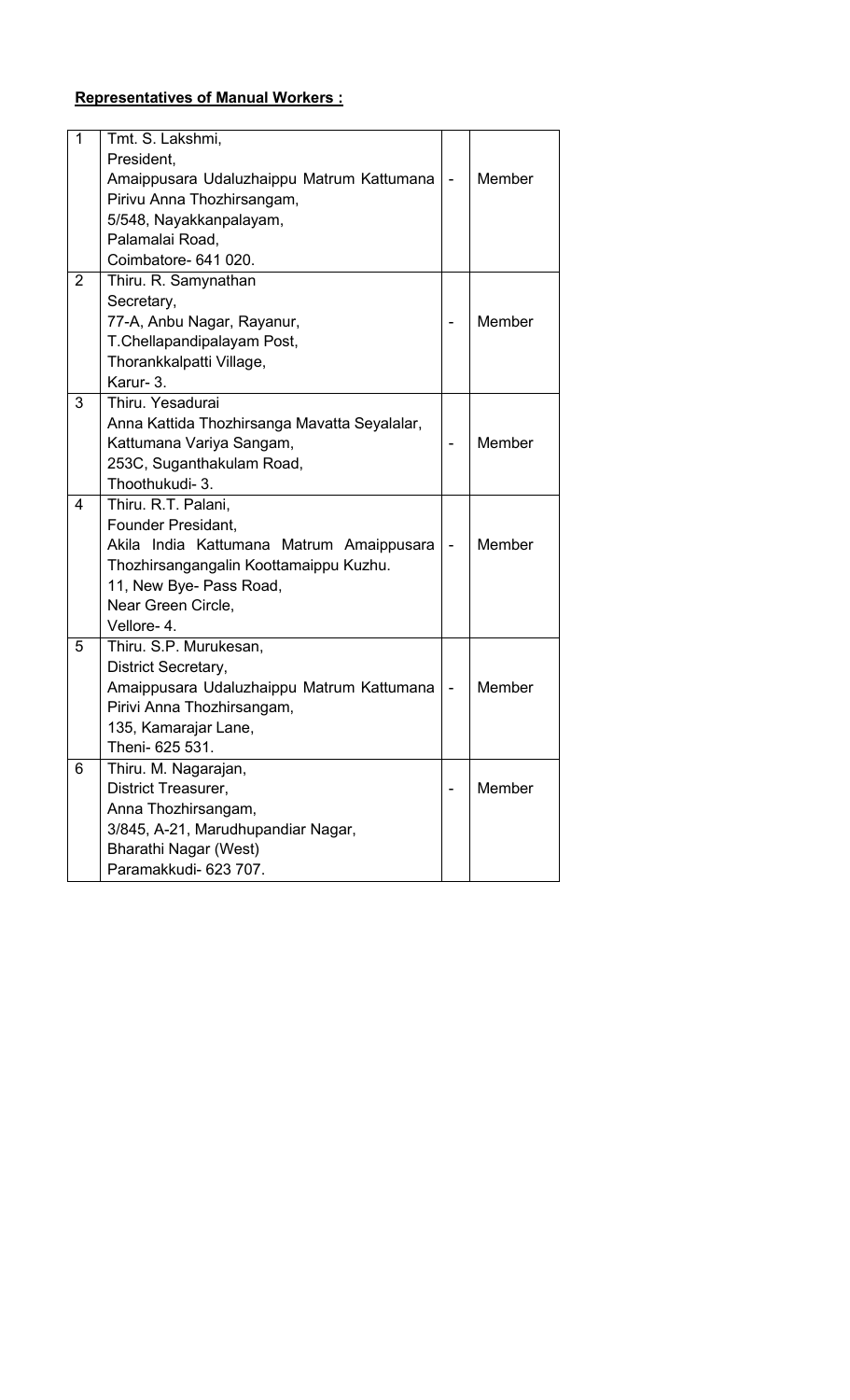# **Representatives of Manual Workers :**

| 1              | Tmt. S. Lakshmi,                             |                          |        |
|----------------|----------------------------------------------|--------------------------|--------|
|                | President,                                   |                          |        |
|                | Amaippusara Udaluzhaippu Matrum Kattumana    | $\overline{\phantom{a}}$ | Member |
|                | Pirivu Anna Thozhirsangam,                   |                          |        |
|                | 5/548, Nayakkanpalayam,                      |                          |        |
|                | Palamalai Road,                              |                          |        |
|                | Coimbatore- 641 020.                         |                          |        |
| $\overline{2}$ | Thiru. R. Samynathan                         |                          |        |
|                | Secretary,                                   |                          |        |
|                | 77-A, Anbu Nagar, Rayanur,                   |                          | Member |
|                | T.Chellapandipalayam Post,                   |                          |        |
|                | Thorankkalpatti Village,                     |                          |        |
|                | Karur- 3.                                    |                          |        |
| 3              | Thiru. Yesadurai                             |                          |        |
|                | Anna Kattida Thozhirsanga Mavatta Seyalalar, |                          |        |
|                | Kattumana Variya Sangam,                     |                          | Member |
|                | 253C, Suganthakulam Road,                    |                          |        |
|                | Thoothukudi- 3.                              |                          |        |
| 4              | Thiru. R.T. Palani,                          |                          |        |
|                | Founder Presidant,                           |                          |        |
|                | Akila India Kattumana Matrum Amaippusara     | $\blacksquare$           | Member |
|                | Thozhirsangangalin Koottamaippu Kuzhu.       |                          |        |
|                | 11, New Bye- Pass Road,                      |                          |        |
|                | Near Green Circle,                           |                          |        |
|                | Vellore-4.                                   |                          |        |
| 5              | Thiru. S.P. Murukesan,                       |                          |        |
|                | District Secretary,                          |                          |        |
|                | Amaippusara Udaluzhaippu Matrum Kattumana    |                          | Member |
|                | Pirivi Anna Thozhirsangam,                   |                          |        |
|                | 135, Kamarajar Lane,                         |                          |        |
|                | Theni- 625 531.                              |                          |        |
| 6              | Thiru. M. Nagarajan,                         |                          |        |
|                | District Treasurer,                          |                          | Member |
|                | Anna Thozhirsangam,                          |                          |        |
|                | 3/845, A-21, Marudhupandiar Nagar,           |                          |        |
|                | Bharathi Nagar (West)                        |                          |        |
|                | Paramakkudi- 623 707.                        |                          |        |